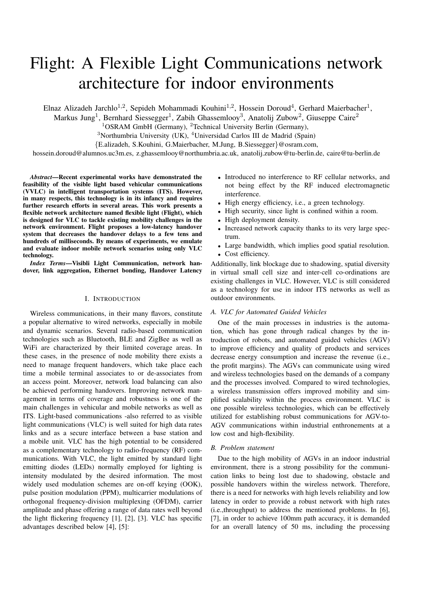# Flight: A Flexible Light Communications network architecture for indoor environments

Elnaz Alizadeh Jarchlo<sup>1,2</sup>, Sepideh Mohammadi Kouhini<sup>1,2</sup>, Hossein Doroud<sup>4</sup>, Gerhard Maierbacher<sup>1</sup>,

Markus Jung<sup>1</sup>, Bernhard Siessegger<sup>1</sup>, Zabih Ghassemlooy<sup>3</sup>, Anatolij Zubow<sup>2</sup>, Giuseppe Caire<sup>2</sup>

<sup>1</sup>OSRAM GmbH (Germany), <sup>2</sup>Technical University Berlin (Germany),

<sup>3</sup>Northumbria University (UK), <sup>4</sup>Universidad Carlos III de Madrid (Spain)

{E.alizadeh, S.Kouhini, G.Maierbacher, M.Jung, B.Siessegger}@osram.com,

hossein.doroud@alumnos.uc3m.es, z.ghassemlooy@northumbria.ac.uk, anatolij.zubow@tu-berlin.de, caire@tu-berlin.de

*Abstract*—Recent experimental works have demonstrated the feasibility of the visible light based vehicular communications (VVLC) in intelligent transportation systems (ITS). However, in many respects, this technology is in its infancy and requires further research efforts in several areas. This work presents a flexible network architecture named flexible light (Flight), which is designed for VLC to tackle existing mobility challenges in the network environment. Flight proposes a low-latency handover system that decreases the handover delays to a few tens and hundreds of milliseconds. By means of experiments, we emulate and evaluate indoor mobile network scenarios using only VLC technology.

*Index Terms*—Visibli Light Communication, network handover, link aggregation, Ethernet bonding, Handover Latency

#### I. INTRODUCTION

Wireless communications, in their many flavors, constitute a popular alternative to wired networks, especially in mobile and dynamic scenarios. Several radio-based communication technologies such as Bluetooth, BLE and ZigBee as well as WiFi are characterized by their limited coverage areas. In these cases, in the presence of node mobility there exists a need to manage frequent handovers, which take place each time a mobile terminal associates to or de-associates from an access point. Moreover, network load balancing can also be achieved performing handovers. Improving network management in terms of coverage and robustness is one of the main challenges in vehicular and mobile networks as well as ITS. Light-based communications -also referred to as visible light communications (VLC) is well suited for high data rates links and as a secure interface between a base station and a mobile unit. VLC has the high potential to be considered as a complementary technology to radio-frequency (RF) communications. With VLC, the light emitted by standard light emitting diodes (LEDs) normally employed for lighting is intensity modulated by the desired information. The most widely used modulation schemes are on-off keying (OOK), pulse position modulation (PPM), multicarrier modulations of orthogonal frequency-division multiplexing (OFDM), carrier amplitude and phase offering a range of data rates well beyond the light flickering frequency [1], [2], [3]. VLC has specific advantages described below [4], [5]:

- Introduced no interference to RF cellular networks, and not being effect by the RF induced electromagnetic interference.
- High energy efficiency, i.e., a green technology.
- High security, since light is confined within a room.
- High deployment density.
- Increased network capacity thanks to its very large spectrum.
- Large bandwidth, which implies good spatial resolution. • Cost efficiency.

Additionally, link blockage due to shadowing, spatial diversity in virtual small cell size and inter-cell co-ordinations are existing challenges in VLC. However, VLC is still considered as a technology for use in indoor ITS networks as well as outdoor environments.

## *A. VLC for Automated Guided Vehicles*

One of the main processes in industries is the automation, which has gone through radical changes by the introduction of robots, and automated guided vehicles (AGV) to improve efficiency and quality of products and services decrease energy consumption and increase the revenue (i.e., the profit margins). The AGVs can communicate using wired and wireless technologies based on the demands of a company and the processes involved. Compared to wired technologies, a wireless transmission offers improved mobility and simplified scalability within the process environment. VLC is one possible wireless technologies, which can be effectively utilized for establishing robust communications for AGV-to-AGV communications within industrial enthronements at a low cost and high-flexibility.

#### *B. Problem statement*

Due to the high mobility of AGVs in an indoor industrial environment, there is a strong possibility for the communication links to being lost due to shadowing, obstacle and possible handovers within the wireless network. Therefore, there is a need for networks with high levels reliability and low latency in order to provide a robust network with high rates (i.e.,throughput) to address the mentioned problems. In [6], [7], in order to achieve 100mm path accuracy, it is demanded for an overall latency of 50 ms, including the processing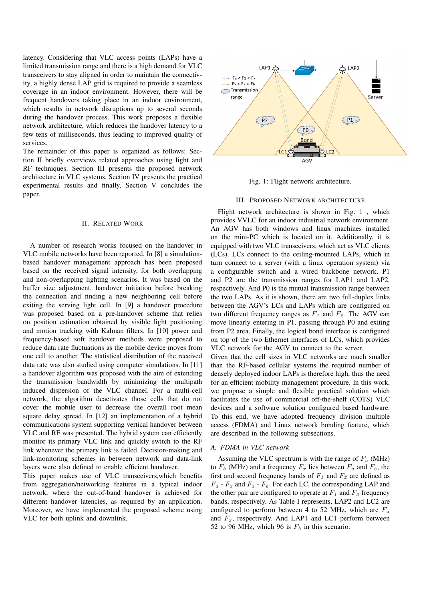latency. Considering that VLC access points (LAPs) have a limited transmission range and there is a high demand for VLC transceivers to stay aligned in order to maintain the connectivity, a highly dense LAP grid is required to provide a seamless coverage in an indoor environment. However, there will be frequent handovers taking place in an indoor environment, which results in network disruptions up to several seconds during the handover process. This work proposes a flexible network architecture, which reduces the handover latency to a few tens of milliseconds, thus leading to improved quality of services.

The remainder of this paper is organized as follows: Section II briefly overviews related approaches using light and RF techniques. Section III presents the proposed network architecture in VLC systems. Section IV presents the practical experimental results and finally, Section V concludes the paper.

## II. RELATED WORK

A number of research works focused on the handover in VLC mobile networks have been reported. In [8] a simulationbased handover management approach has been proposed based on the received signal intensity, for both overlapping and non-overlapping lighting scenarios. It was based on the buffer size adjustment, handover initiation before breaking the connection and finding a new neighboring cell before exiting the serving light cell. In [9] a handover procedure was proposed based on a pre-handover scheme that relies on position estimation obtained by visible light positioning and motion tracking with Kalman filters. In [10] power and frequency-based soft handover methods were proposed to reduce data rate fluctuations as the mobile device moves from one cell to another. The statistical distribution of the received data rate was also studied using computer simulations. In [11] a handover algorithm was proposed with the aim of extending the transmission bandwidth by minimizing the multipath induced dispersion of the VLC channel. For a multi-cell network, the algorithm deactivates those cells that do not cover the mobile user to decrease the overall root mean square delay spread. In [12] an implementation of a hybrid communications system supporting vertical handover between VLC and RF was presented. The hybrid system can efficiently monitor its primary VLC link and quickly switch to the RF link whenever the primary link is failed. Decision-making and link-monitoring schemes in between network and data-link layers were also defined to enable efficient handover.

This paper makes use of VLC transceivers,which benefits from aggregation/networking features in a typical indoor network, where the out-of-band handover is achieved for different handover latencies, as required by an application. Moreover, we have implemented the proposed scheme using VLC for both uplink and downlink.



Fig. 1: Flight network architecture.

# III. PROPOSED NETWORK ARCHITECTURE

Flight network architecture is shown in Fig. 1 , which provides VVLC for an indoor industrial network environment. An AGV has both windows and linux machines installed on the mini-PC which is located on it. Additionally, it is equipped with two VLC transceivers, which act as VLC clients (LCs). LCs connect to the ceiling-mounted LAPs, which in turn connect to a server (with a linux operation system) via a configurable switch and a wired backbone network. P1 and P2 are the transmission ranges for LAP1 and LAP2, respectively. And P0 is the mutual transmission range between the two LAPs. As it is shown, there are two full-duplex links between the AGV's LCs and LAPs which are configured on two different frequency ranges as  $F_1$  and  $F_2$ . The AGV can move linearly entering in P1, passing through P0 and exiting from P2 area. Finally, the logical bond interface is configured on top of the two Ethernet interfaces of LCs, which provides VLC network for the AGV to connect to the server.

Given that the cell sizes in VLC networks are much smaller than the RF-based cellular systems the required number of densely deployed indoor LAPs is therefore high, thus the need for an efficient mobility management procedure. In this work, we propose a simple and flexible practical solution which facilitates the use of commercial off-the-shelf (COTS) VLC devices and a software solution configured based hardware. To this end, we have adopted frequency division multiple access (FDMA) and Linux network bonding feature, which are described in the following subsections.

## *A. FDMA in VLC network*

Assuming the VLC spectrum is with the range of  $F_a$  (MHz) to  $F_b$  (MHz) and a frequency  $F_x$  lies between  $F_a$  and  $F_b$ , the first and second frequency bands of  $F_1$  and  $F_2$  are defined as  $F_a$  -  $F_x$  and  $F_x$  -  $F_b$ . For each LC, the corresponding LAP and the other pair are configured to operate at  $F_1$  and  $F_2$  frequency bands, respectively. As Table I represents, LAP2 and LC2 are configured to perform between 4 to 52 MHz, which are  $F_a$ and  $F_x$ , respectively. And LAP1 and LC1 perform between 52 to 96 MHz, which 96 is  $F<sub>b</sub>$  in this scenario.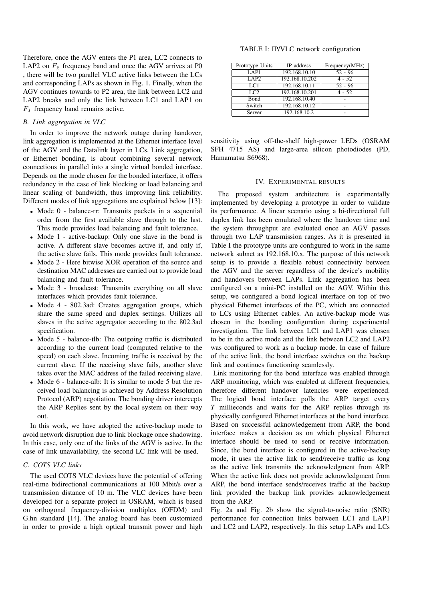Therefore, once the AGV enters the P1 area, LC2 connects to LAP2 on  $F_2$  frequency band and once the AGV arrives at P0 , there will be two parallel VLC active links between the LCs and corresponding LAPs as shown in Fig. 1. Finally, when the AGV continues towards to P2 area, the link between LC2 and LAP2 breaks and only the link between LC1 and LAP1 on  $F_1$  frequency band remains active.

# *B. Link aggregation in VLC*

In order to improve the network outage during handover, link aggregation is implemented at the Ethernet interface level of the AGV and the Datalink layer in LCs. Link aggregation, or Ethernet bonding, is about combining several network connections in parallel into a single virtual bonded interface. Depends on the mode chosen for the bonded interface, it offers redundancy in the case of link blocking or load balancing and linear scaling of bandwidth, thus improving link reliability. Different modes of link aggregations are explained below [13]:

- Mode 0 balance-rr: Transmits packets in a sequential order from the first available slave through to the last. This mode provides load balancing and fault tolerance.
- Mode 1 active-backup: Only one slave in the bond is active. A different slave becomes active if, and only if, the active slave fails. This mode provides fault tolerance.
- Mode 2 Here bitwise XOR operation of the source and destination MAC addresses are carried out to provide load balancing and fault tolerance.
- Mode 3 broadcast: Transmits everything on all slave interfaces which provides fault tolerance.
- Mode 4 802.3ad: Creates aggregation groups, which share the same speed and duplex settings. Utilizes all slaves in the active aggregator according to the 802.3ad specification.
- Mode 5 balance-tlb: The outgoing traffic is distributed according to the current load (computed relative to the speed) on each slave. Incoming traffic is received by the current slave. If the receiving slave fails, another slave takes over the MAC address of the failed receiving slave.
- Mode 6 balance-alb: It is similar to mode 5 but the received load balancing is achieved by Address Resolution Protocol (ARP) negotiation. The bonding driver intercepts the ARP Replies sent by the local system on their way out.

In this work, we have adopted the active-backup mode to avoid network disruption due to link blockage once shadowing. In this case, only one of the links of the AGV is active. In the case of link unavailability, the second LC link will be used.

# *C. COTS VLC links*

The used COTS VLC devices have the potential of offering real-time bidirectional communications at 100 Mbit/s over a transmission distance of 10 m. The VLC devices have been developed for a separate project in OSRAM, which is based on orthogonal frequency-division multiplex (OFDM) and G.hn standard [14]. The analog board has been customized in order to provide a high optical transmit power and high

TABLE I: IP/VLC network configuration

| Prototype Units | IP address     | Frequency(MHz) |
|-----------------|----------------|----------------|
| LAP1            | 192.168.10.10  | $52 - 96$      |
| LAP2            | 192.168.10.202 | $4 - 52$       |
| LC1             | 192.168.10.11  | $52 - 96$      |
| TC2             | 192.168.10.201 | $4 - 52$       |
| <b>B</b> ond    | 192.168.10.40  |                |
| Switch          | 192.168.10.12  |                |
| Server          | 192.168.10.2   |                |

sensitivity using off-the-shelf high-power LEDs (OSRAM SFH 4715 AS) and large-area silicon photodiodes (PD, Hamamatsu S6968).

#### IV. EXPERIMENTAL RESULTS

The proposed system architecture is experimentally implemented by developing a prototype in order to validate its performance. A linear scenario using a bi-directional full duplex link has been emulated where the handover time and the system throughput are evaluated once an AGV passes through two LAP transmission ranges. As it is presented in Table I the prototype units are configured to work in the same network subnet as 192.168.10.x. The purpose of this network setup is to provide a flexible robust connectivity between the AGV and the server regardless of the device's mobility and handovers between LAPs. Link aggregation has been configured on a mini-PC installed on the AGV. Within this setup, we configured a bond logical interface on top of two physical Ethernet interfaces of the PC, which are connected to LCs using Ethernet cables. An active-backup mode was chosen in the bonding configuration during experimental investigation. The link between LC1 and LAP1 was chosen to be in the active mode and the link between LC2 and LAP2 was configured to work as a backup mode. In case of failure of the active link, the bond interface switches on the backup link and continues functioning seamlessly.

Link monitoring for the bond interface was enabled through ARP monitoring, which was enabled at different frequencies, therefore different handover latencies were experienced. The logical bond interface polls the ARP target every *T* millieconds and waits for the ARP replies through its physically configured Ethernet interfaces at the bond interface. Based on successful acknowledgement from ARP, the bond interface makes a decision as on which physical Ethernet interface should be used to send or receive information. Since, the bond interface is configured in the active-backup mode, it uses the active link to send/receive traffic as long as the active link transmits the acknowledgment from ARP. When the active link does not provide acknowledgment from ARP, the bond interface sends/receives traffic at the backup link provided the backup link provides acknowledgement from the ARP.

Fig. 2a and Fig. 2b show the signal-to-noise ratio (SNR) performance for connection links between LC1 and LAP1 and LC2 and LAP2, respectively. In this setup LAPs and LCs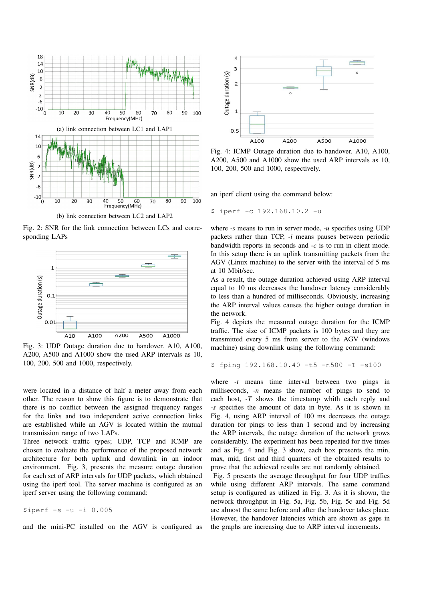

(b) link connection between LC2 and LAP2

Fig. 2: SNR for the link connection between LCs and corresponding LAPs



Fig. 3: UDP Outage duration due to handover. A10, A100, A200, A500 and A1000 show the used ARP intervals as 10, 100, 200, 500 and 1000, respectively.

were located in a distance of half a meter away from each other. The reason to show this figure is to demonstrate that there is no conflict between the assigned frequency ranges for the links and two independent active connection links are established while an AGV is located within the mutual transmission range of two LAPs.

Three network traffic types; UDP, TCP and ICMP are chosen to evaluate the performance of the proposed network architecture for both uplink and downlink in an indoor environment. Fig. 3, presents the measure outage duration for each set of ARP intervals for UDP packets, which obtained using the iperf tool. The server machine is configured as an iperf server using the following command:

 $$iperf -s -u -i 0.005$ 

and the mini-PC installed on the AGV is configured as



Fig. 4: ICMP Outage duration due to handover. A10, A100, A200, A500 and A1000 show the used ARP intervals as 10, 100, 200, 500 and 1000, respectively.

an iperf client using the command below:

\$ iperf -c 192.168.10.2 -u

where *-s* means to run in server mode, *-u* specifies using UDP packets rather than TCP, *-i* means pauses between periodic bandwidth reports in seconds and *-c* is to run in client mode. In this setup there is an uplink transmitting packets from the AGV (Linux machine) to the server with the interval of 5 ms at 10 Mbit/sec.

As a result, the outage duration achieved using ARP interval equal to 10 ms decreases the handover latency considerably to less than a hundred of milliseconds. Obviously, increasing the ARP interval values causes the higher outage duration in the network.

Fig. 4 depicts the measured outage duration for the ICMP traffic. The size of ICMP packets is 100 bytes and they are transmitted every 5 ms from server to the AGV (windows machine) using downlink using the following command:

```
$ fping 192.168.10.40 -t5 -n500 -T -s100
```
where *-t* means time interval between two pings in milliseconds, *-n* means the number of pings to send to each host, *-T* shows the timestamp whith each reply and *-s* specifies the amount of data in byte. As it is shown in Fig. 4, using ARP interval of 100 ms decreases the outage duration for pings to less than 1 second and by increasing the ARP intervals, the outage duration of the network grows considerably. The experiment has been repeated for five times and as Fig. 4 and Fig. 3 show, each box presents the min, max, mid, first and third quarters of the obtained results to prove that the achieved results are not randomly obtained.

Fig. 5 presents the average throughput for four UDP traffics while using different ARP intervals. The same command setup is configured as utilized in Fig. 3. As it is shown, the network throughput in Fig. 5a, Fig. 5b, Fig. 5c and Fig. 5d are almost the same before and after the handover takes place. However, the handover latencies which are shown as gaps in the graphs are increasing due to ARP interval increments.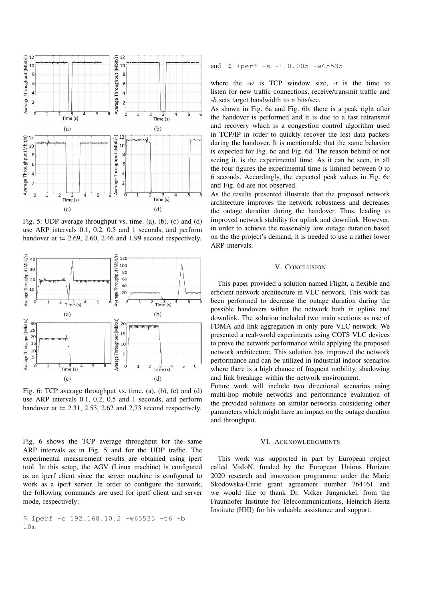

Fig. 5: UDP average throughput vs. time. (a), (b), (c) and (d) use ARP intervals 0.1, 0.2, 0.5 and 1 seconds, and perform handover at  $t = 2.69, 2.60, 2.46$  and 1.99 second respectively.



Fig. 6: TCP average throughput vs. time. (a), (b), (c) and (d) use ARP intervals 0.1, 0.2, 0.5 and 1 seconds, and perform handover at  $t = 2.31$ , 2.53, 2,62 and 2,73 second respectively.

Fig. 6 shows the TCP average throughput for the same ARP intervals as in Fig. 5 and for the UDP traffic. The experimental measurement results are obtained using iperf tool. In this setup, the AGV (Linux machine) is configured as an iperf client since the server machine is configured to work as a iperf server. In order to configure the network, the following commands are used for iperf client and server mode, respectively:

\$ iperf -c 192.168.10.2 -w65535 -t6 -b 10m

# and \$ iperf -s -i 0.005 -w65535

where the  $-w$  is TCP window size,  $-t$  is the time to listen for new traffic connections, receive/transmit traffic and *-b* sets target bandwidth to n bits/sec.

As shown in Fig. 6a and Fig. 6b, there is a peak right after the handover is performed and it is due to a fast retransmit and recovery which is a congestion control algorithm used in TCP/IP in order to quickly recover the lost data packets during the handover. It is mentionable that the same behavior is expected for Fig. 6c and Fig. 6d. The reason behind of not seeing it, is the experimental time. As it can be seen, in all the four figures the experimental time is limited between 0 to 6 seconds. Accordingly, the expected peak values in Fig. 6c and Fig. 6d are not observed.

As the results presented illustrate that the proposed network architecture improves the network robustness and decreases the outage duration during the handover. Thus, leading to improved network stability for uplink and downlink. However, in order to achieve the reasonably low outage duration based on the the project's demand, it is needed to use a rather lower ARP intervals.

#### V. CONCLUSION

This paper provided a solution named Flight, a flexible and efficient network architecture in VLC network. This work has been performed to decrease the outage duration during the possible handovers within the network both in uplink and downlink. The solution included two main sections as use of FDMA and link aggregation in only pure VLC network. We presented a real-world experiments using COTS VLC devices to prove the network performance while applying the proposed network architecture. This solution has improved the network performance and can be utilized in industrial indoor scenarios where there is a high chance of frequent mobility, shadowing and link breakage within the network environment.

Future work will include two directional scenarios using multi-hop mobile networks and performance evaluation of the provided solutions on similar networks considering other parameters which might have an impact on the outage duration and throughput.

# VI. ACKNOWLEDGMENTS

This work was supported in part by European project called VisIoN, funded by the European Unions Horizon 2020 research and innovation programme under the Marie Skodowska-Curie grant agreement number 764461 and we would like to thank Dr. Volker Jungnickel, from the Fraunhofer Institute for Telecommunications, Heinrich Hertz Institute (HHI) for his valuable assistance and support.